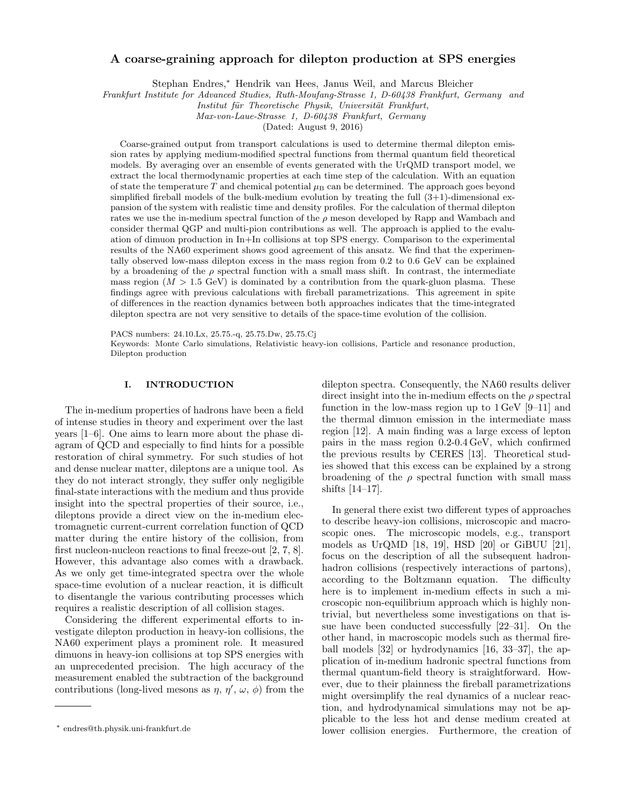# A coarse-graining approach for dilepton production at SPS energies

Stephan Endres,<sup>∗</sup> Hendrik van Hees, Janus Weil, and Marcus Bleicher

Frankfurt Institute for Advanced Studies, Ruth-Moufang-Strasse 1, D-60438 Frankfurt, Germany and

Institut für Theoretische Physik, Universität Frankfurt,

Max-von-Laue-Strasse 1, D-60438 Frankfurt, Germany

(Dated: August 9, 2016)

Coarse-grained output from transport calculations is used to determine thermal dilepton emission rates by applying medium-modified spectral functions from thermal quantum field theoretical models. By averaging over an ensemble of events generated with the UrQMD transport model, we extract the local thermodynamic properties at each time step of the calculation. With an equation of state the temperature T and chemical potential  $\mu_B$  can be determined. The approach goes beyond simplified fireball models of the bulk-medium evolution by treating the full  $(3+1)$ -dimensional expansion of the system with realistic time and density profiles. For the calculation of thermal dilepton rates we use the in-medium spectral function of the  $\rho$  meson developed by Rapp and Wambach and consider thermal QGP and multi-pion contributions as well. The approach is applied to the evaluation of dimuon production in In+In collisions at top SPS energy. Comparison to the experimental results of the NA60 experiment shows good agreement of this ansatz. We find that the experimentally observed low-mass dilepton excess in the mass region from 0.2 to 0.6 GeV can be explained by a broadening of the  $\rho$  spectral function with a small mass shift. In contrast, the intermediate mass region  $(M > 1.5$  GeV) is dominated by a contribution from the quark-gluon plasma. These findings agree with previous calculations with fireball parametrizations. This agreement in spite of differences in the reaction dynamics between both approaches indicates that the time-integrated dilepton spectra are not very sensitive to details of the space-time evolution of the collision.

PACS numbers: 24.10.Lx, 25.75.-q, 25.75.Dw, 25.75.Cj

Keywords: Monte Carlo simulations, Relativistic heavy-ion collisions, Particle and resonance production, Dilepton production

# I. INTRODUCTION

The in-medium properties of hadrons have been a field of intense studies in theory and experiment over the last years [1–6]. One aims to learn more about the phase diagram of QCD and especially to find hints for a possible restoration of chiral symmetry. For such studies of hot and dense nuclear matter, dileptons are a unique tool. As they do not interact strongly, they suffer only negligible final-state interactions with the medium and thus provide insight into the spectral properties of their source, i.e., dileptons provide a direct view on the in-medium electromagnetic current-current correlation function of QCD matter during the entire history of the collision, from first nucleon-nucleon reactions to final freeze-out [2, 7, 8]. However, this advantage also comes with a drawback. As we only get time-integrated spectra over the whole space-time evolution of a nuclear reaction, it is difficult to disentangle the various contributing processes which requires a realistic description of all collision stages.

Considering the different experimental efforts to investigate dilepton production in heavy-ion collisions, the NA60 experiment plays a prominent role. It measured dimuons in heavy-ion collisions at top SPS energies with an unprecedented precision. The high accuracy of the measurement enabled the subtraction of the background contributions (long-lived mesons as  $\eta$ ,  $\eta'$ ,  $\omega$ ,  $\phi$ ) from the

dilepton spectra. Consequently, the NA60 results deliver direct insight into the in-medium effects on the  $\rho$  spectral function in the low-mass region up to  $1 \,\text{GeV}$  [9–11] and the thermal dimuon emission in the intermediate mass region [12]. A main finding was a large excess of lepton pairs in the mass region 0.2-0.4 GeV, which confirmed the previous results by CERES [13]. Theoretical studies showed that this excess can be explained by a strong broadening of the  $\rho$  spectral function with small mass shifts [14–17].

In general there exist two different types of approaches to describe heavy-ion collisions, microscopic and macroscopic ones. The microscopic models, e.g., transport models as UrQMD [18, 19], HSD [20] or GiBUU [21], focus on the description of all the subsequent hadronhadron collisions (respectively interactions of partons), according to the Boltzmann equation. The difficulty here is to implement in-medium effects in such a microscopic non-equilibrium approach which is highly nontrivial, but nevertheless some investigations on that issue have been conducted successfully [22–31]. On the other hand, in macroscopic models such as thermal fireball models [32] or hydrodynamics [16, 33–37], the application of in-medium hadronic spectral functions from thermal quantum-field theory is straightforward. However, due to their plainness the fireball parametrizations might oversimplify the real dynamics of a nuclear reaction, and hydrodynamical simulations may not be applicable to the less hot and dense medium created at lower collision energies. Furthermore, the creation of

<sup>∗</sup> endres@th.physik.uni-frankfurt.de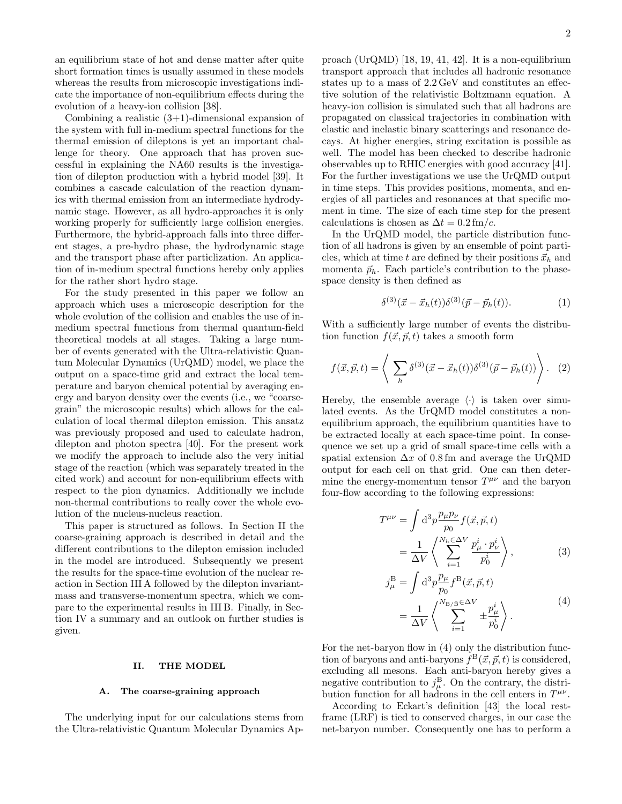an equilibrium state of hot and dense matter after quite short formation times is usually assumed in these models whereas the results from microscopic investigations indicate the importance of non-equilibrium effects during the evolution of a heavy-ion collision [38].

Combining a realistic  $(3+1)$ -dimensional expansion of the system with full in-medium spectral functions for the thermal emission of dileptons is yet an important challenge for theory. One approach that has proven successful in explaining the NA60 results is the investigation of dilepton production with a hybrid model [39]. It combines a cascade calculation of the reaction dynamics with thermal emission from an intermediate hydrodynamic stage. However, as all hydro-approaches it is only working properly for sufficiently large collision energies. Furthermore, the hybrid-approach falls into three different stages, a pre-hydro phase, the hydrodynamic stage and the transport phase after particlization. An application of in-medium spectral functions hereby only applies for the rather short hydro stage.

For the study presented in this paper we follow an approach which uses a microscopic description for the whole evolution of the collision and enables the use of inmedium spectral functions from thermal quantum-field theoretical models at all stages. Taking a large number of events generated with the Ultra-relativistic Quantum Molecular Dynamics (UrQMD) model, we place the output on a space-time grid and extract the local temperature and baryon chemical potential by averaging energy and baryon density over the events (i.e., we "coarsegrain" the microscopic results) which allows for the calculation of local thermal dilepton emission. This ansatz was previously proposed and used to calculate hadron, dilepton and photon spectra [40]. For the present work we modify the approach to include also the very initial stage of the reaction (which was separately treated in the cited work) and account for non-equilibrium effects with respect to the pion dynamics. Additionally we include non-thermal contributions to really cover the whole evolution of the nucleus-nucleus reaction.

This paper is structured as follows. In Section II the coarse-graining approach is described in detail and the different contributions to the dilepton emission included in the model are introduced. Subsequently we present the results for the space-time evolution of the nuclear reaction in Section III A followed by the dilepton invariantmass and transverse-momentum spectra, which we compare to the experimental results in III B. Finally, in Section IV a summary and an outlook on further studies is given.

### II. THE MODEL

## A. The coarse-graining approach

The underlying input for our calculations stems from the Ultra-relativistic Quantum Molecular Dynamics Ap-

proach (UrQMD) [18, 19, 41, 42]. It is a non-equilibrium transport approach that includes all hadronic resonance states up to a mass of 2.2 GeV and constitutes an effective solution of the relativistic Boltzmann equation. A heavy-ion collision is simulated such that all hadrons are propagated on classical trajectories in combination with elastic and inelastic binary scatterings and resonance decays. At higher energies, string excitation is possible as well. The model has been checked to describe hadronic observables up to RHIC energies with good accuracy [41]. For the further investigations we use the UrQMD output in time steps. This provides positions, momenta, and energies of all particles and resonances at that specific moment in time. The size of each time step for the present calculations is chosen as  $\Delta t = 0.2$  fm/c.

In the UrQMD model, the particle distribution function of all hadrons is given by an ensemble of point particles, which at time t are defined by their positions  $\vec{x}_h$  and momenta  $\vec{p}_h$ . Each particle's contribution to the phasespace density is then defined as

$$
\delta^{(3)}(\vec{x} - \vec{x}_h(t))\delta^{(3)}(\vec{p} - \vec{p}_h(t)).
$$
\n(1)

With a sufficiently large number of events the distribution function  $f(\vec{x}, \vec{p}, t)$  takes a smooth form

$$
f(\vec{x}, \vec{p}, t) = \left\langle \sum_{h} \delta^{(3)}(\vec{x} - \vec{x}_h(t)) \delta^{(3)}(\vec{p} - \vec{p}_h(t)) \right\rangle. \tag{2}
$$

Hereby, the ensemble average  $\langle \cdot \rangle$  is taken over simulated events. As the UrQMD model constitutes a nonequilibrium approach, the equilibrium quantities have to be extracted locally at each space-time point. In consequence we set up a grid of small space-time cells with a spatial extension  $\Delta x$  of 0.8 fm and average the UrQMD output for each cell on that grid. One can then determine the energy-momentum tensor  $T^{\mu\nu}$  and the baryon four-flow according to the following expressions:

$$
T^{\mu\nu} = \int d^3p \frac{p_{\mu}p_{\nu}}{p_0} f(\vec{x}, \vec{p}, t)
$$
  
= 
$$
\frac{1}{\Delta V} \left\langle \sum_{i=1}^{N_h \in \Delta V} \frac{p_{\mu}^i \cdot p_{\nu}^i}{p_0^i} \right\rangle,
$$
 (3)

$$
j_{\mu}^{\mathcal{B}} = \int d^3 p \frac{p_{\mu}}{p_0} f^{\mathcal{B}}(\vec{x}, \vec{p}, t)
$$
  
= 
$$
\frac{1}{\Delta V} \left\langle \sum_{i=1}^{N_{\mathcal{B}}/\mathcal{B}} \xi^{\Delta V} + \frac{p_{\mu}^i}{p_0^i} \right\rangle.
$$
 (4)

For the net-baryon flow in (4) only the distribution function of baryons and anti-baryons  $f^{B}(\vec{x}, \vec{p}, t)$  is considered, excluding all mesons. Each anti-baryon hereby gives a negative contribution to  $j^{\text{B}}_{\mu}$ . On the contrary, the distribution function for all hadrons in the cell enters in  $T^{\mu\nu}$ .

According to Eckart's definition [43] the local restframe (LRF) is tied to conserved charges, in our case the net-baryon number. Consequently one has to perform a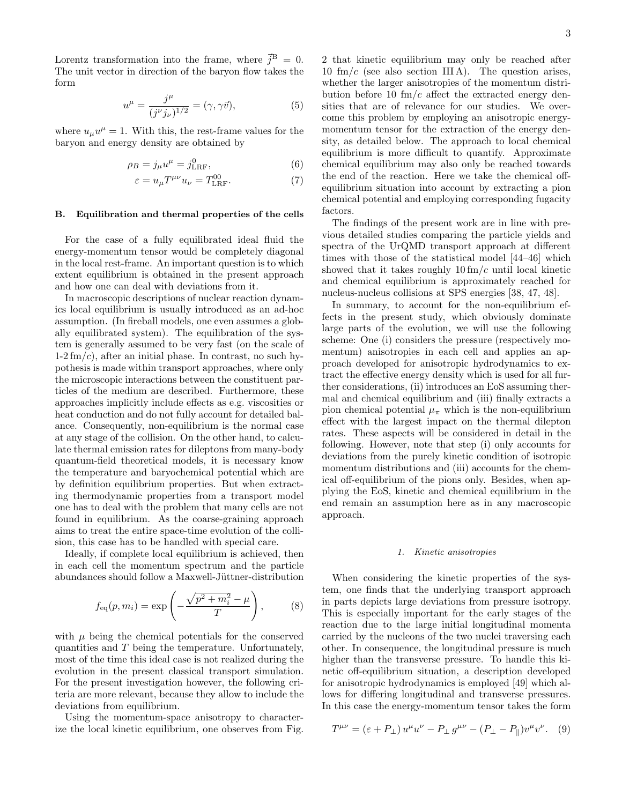Lorentz transformation into the frame, where  $\vec{j}^{\text{B}} = 0$ . The unit vector in direction of the baryon flow takes the form

$$
u^{\mu} = \frac{j^{\mu}}{(j^{\nu}j_{\nu})^{1/2}} = (\gamma, \gamma \vec{v}), \tag{5}
$$

where  $u_{\mu}u^{\mu} = 1$ . With this, the rest-frame values for the baryon and energy density are obtained by

$$
\rho_B = j_\mu u^\mu = j^0_{\text{LRF}},\qquad(6)
$$

$$
\varepsilon = u_{\mu} T^{\mu \nu} u_{\nu} = T^{00}_{\text{LRF}}.
$$
 (7)

### B. Equilibration and thermal properties of the cells

For the case of a fully equilibrated ideal fluid the energy-momentum tensor would be completely diagonal in the local rest-frame. An important question is to which extent equilibrium is obtained in the present approach and how one can deal with deviations from it.

In macroscopic descriptions of nuclear reaction dynamics local equilibrium is usually introduced as an ad-hoc assumption. (In fireball models, one even assumes a globally equilibrated system). The equilibration of the system is generally assumed to be very fast (on the scale of  $1-2 \, \text{fm}/c$ , after an initial phase. In contrast, no such hypothesis is made within transport approaches, where only the microscopic interactions between the constituent particles of the medium are described. Furthermore, these approaches implicitly include effects as e.g. viscosities or heat conduction and do not fully account for detailed balance. Consequently, non-equilibrium is the normal case at any stage of the collision. On the other hand, to calculate thermal emission rates for dileptons from many-body quantum-field theoretical models, it is necessary know the temperature and baryochemical potential which are by definition equilibrium properties. But when extracting thermodynamic properties from a transport model one has to deal with the problem that many cells are not found in equilibrium. As the coarse-graining approach aims to treat the entire space-time evolution of the collision, this case has to be handled with special care.

Ideally, if complete local equilibrium is achieved, then in each cell the momentum spectrum and the particle abundances should follow a Maxwell-Jüttner-distribution

$$
f_{\text{eq}}(p, m_i) = \exp\left(-\frac{\sqrt{p^2 + m_i^2} - \mu}{T}\right),
$$
 (8)

with  $\mu$  being the chemical potentials for the conserved quantities and T being the temperature. Unfortunately, most of the time this ideal case is not realized during the evolution in the present classical transport simulation. For the present investigation however, the following criteria are more relevant, because they allow to include the deviations from equilibrium.

Using the momentum-space anisotropy to characterize the local kinetic equilibrium, one observes from Fig.

2 that kinetic equilibrium may only be reached after 10 fm/c (see also section IIIA). The question arises, whether the larger anisotropies of the momentum distribution before 10  $\text{fm}/c$  affect the extracted energy densities that are of relevance for our studies. We overcome this problem by employing an anisotropic energymomentum tensor for the extraction of the energy density, as detailed below. The approach to local chemical equilibrium is more difficult to quantify. Approximate chemical equilibrium may also only be reached towards the end of the reaction. Here we take the chemical offequilibrium situation into account by extracting a pion chemical potential and employing corresponding fugacity factors.

The findings of the present work are in line with previous detailed studies comparing the particle yields and spectra of the UrQMD transport approach at different times with those of the statistical model [44–46] which showed that it takes roughly  $10 \, \text{fm}/c$  until local kinetic and chemical equilibrium is approximately reached for nucleus-nucleus collisions at SPS energies [38, 47, 48].

In summary, to account for the non-equilibrium effects in the present study, which obviously dominate large parts of the evolution, we will use the following scheme: One (i) considers the pressure (respectively momentum) anisotropies in each cell and applies an approach developed for anisotropic hydrodynamics to extract the effective energy density which is used for all further considerations, (ii) introduces an EoS assuming thermal and chemical equilibrium and (iii) finally extracts a pion chemical potential  $\mu_{\pi}$  which is the non-equilibrium effect with the largest impact on the thermal dilepton rates. These aspects will be considered in detail in the following. However, note that step (i) only accounts for deviations from the purely kinetic condition of isotropic momentum distributions and (iii) accounts for the chemical off-equilibrium of the pions only. Besides, when applying the EoS, kinetic and chemical equilibrium in the end remain an assumption here as in any macroscopic approach.

### 1. Kinetic anisotropies

When considering the kinetic properties of the system, one finds that the underlying transport approach in parts depicts large deviations from pressure isotropy. This is especially important for the early stages of the reaction due to the large initial longitudinal momenta carried by the nucleons of the two nuclei traversing each other. In consequence, the longitudinal pressure is much higher than the transverse pressure. To handle this kinetic off-equilibrium situation, a description developed for anisotropic hydrodynamics is employed [49] which allows for differing longitudinal and transverse pressures. In this case the energy-momentum tensor takes the form

$$
T^{\mu\nu} = (\varepsilon + P_{\perp}) u^{\mu} u^{\nu} - P_{\perp} g^{\mu\nu} - (P_{\perp} - P_{\parallel}) v^{\mu} v^{\nu}. \quad (9)
$$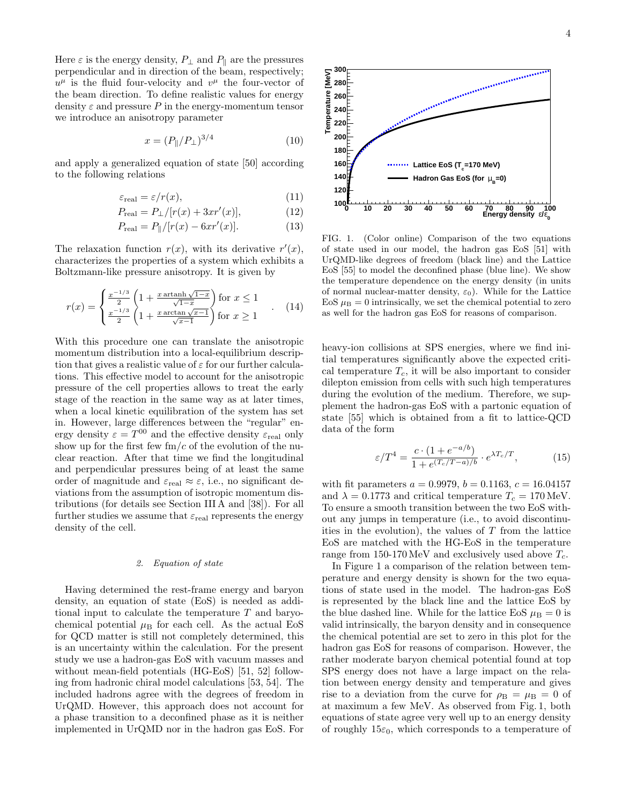Here  $\varepsilon$  is the energy density,  $P_{\perp}$  and  $P_{\parallel}$  are the pressures perpendicular and in direction of the beam, respectively;  $u^{\mu}$  is the fluid four-velocity and  $v^{\mu}$  the four-vector of the beam direction. To define realistic values for energy density  $\varepsilon$  and pressure P in the energy-momentum tensor we introduce an anisotropy parameter

$$
x = (P_{\parallel}/P_{\perp})^{3/4} \tag{10}
$$

and apply a generalized equation of state [50] according to the following relations

$$
\varepsilon_{\text{real}} = \varepsilon / r(x),\tag{11}
$$

$$
P_{\text{real}} = P_{\perp} / [r(x) + 3xr'(x)], \tag{12}
$$

$$
P_{\text{real}} = P_{\parallel}/[r(x) - 6xr'(x)]. \tag{13}
$$

The relaxation function  $r(x)$ , with its derivative  $r'(x)$ , characterizes the properties of a system which exhibits a Boltzmann-like pressure anisotropy. It is given by

$$
r(x) = \begin{cases} \frac{x^{-1/3}}{2} \left( 1 + \frac{x \arctan\sqrt{1-x}}{\sqrt{1-x}} \right) \text{ for } x \le 1\\ \frac{x^{-1/3}}{2} \left( 1 + \frac{x \arctan\sqrt{x-1}}{\sqrt{x-1}} \right) \text{ for } x \ge 1 \end{cases} \tag{14}
$$

With this procedure one can translate the anisotropic momentum distribution into a local-equilibrium description that gives a realistic value of  $\varepsilon$  for our further calculations. This effective model to account for the anisotropic pressure of the cell properties allows to treat the early stage of the reaction in the same way as at later times, when a local kinetic equilibration of the system has set in. However, large differences between the "regular" energy density  $\varepsilon = T^{00}$  and the effective density  $\varepsilon_{\text{real}}$  only show up for the first few  $\text{fm}/c$  of the evolution of the nuclear reaction. After that time we find the longitudinal and perpendicular pressures being of at least the same order of magnitude and  $\varepsilon_{\text{real}} \approx \varepsilon$ , i.e., no significant deviations from the assumption of isotropic momentum distributions (for details see Section III A and [38]). For all further studies we assume that  $\varepsilon_{\text{real}}$  represents the energy density of the cell.

## 2. Equation of state

Having determined the rest-frame energy and baryon density, an equation of state (EoS) is needed as additional input to calculate the temperature T and baryochemical potential  $\mu_B$  for each cell. As the actual EoS for QCD matter is still not completely determined, this is an uncertainty within the calculation. For the present study we use a hadron-gas EoS with vacuum masses and without mean-field potentials (HG-EoS) [51, 52] following from hadronic chiral model calculations [53, 54]. The included hadrons agree with the degrees of freedom in UrQMD. However, this approach does not account for a phase transition to a deconfined phase as it is neither implemented in UrQMD nor in the hadron gas EoS. For



FIG. 1. (Color online) Comparison of the two equations of state used in our model, the hadron gas EoS [51] with UrQMD-like degrees of freedom (black line) and the Lattice EoS [55] to model the deconfined phase (blue line). We show the temperature dependence on the energy density (in units of normal nuclear-matter density,  $\varepsilon_0$ ). While for the Lattice EoS  $\mu_B = 0$  intrinsically, we set the chemical potential to zero as well for the hadron gas EoS for reasons of comparison.

heavy-ion collisions at SPS energies, where we find initial temperatures significantly above the expected critical temperature  $T_c$ , it will be also important to consider dilepton emission from cells with such high temperatures during the evolution of the medium. Therefore, we supplement the hadron-gas EoS with a partonic equation of state [55] which is obtained from a fit to lattice-QCD data of the form

$$
\varepsilon/T^4 = \frac{c \cdot (1 + e^{-a/b})}{1 + e^{(T_c/T - a)/b}} \cdot e^{\lambda T_c/T},\tag{15}
$$

with fit parameters  $a = 0.9979$ ,  $b = 0.1163$ ,  $c = 16.04157$ and  $\lambda = 0.1773$  and critical temperature  $T_c = 170 \,\text{MeV}$ . To ensure a smooth transition between the two EoS without any jumps in temperature (i.e., to avoid discontinuities in the evolution), the values of  $T$  from the lattice EoS are matched with the HG-EoS in the temperature range from 150-170 MeV and exclusively used above  $T_c$ .

In Figure 1 a comparison of the relation between temperature and energy density is shown for the two equations of state used in the model. The hadron-gas EoS is represented by the black line and the lattice EoS by the blue dashed line. While for the lattice EoS  $\mu_B = 0$  is valid intrinsically, the baryon density and in consequence the chemical potential are set to zero in this plot for the hadron gas EoS for reasons of comparison. However, the rather moderate baryon chemical potential found at top SPS energy does not have a large impact on the relation between energy density and temperature and gives rise to a deviation from the curve for  $\rho_{\rm B} = \mu_{\rm B} = 0$  of at maximum a few MeV. As observed from Fig. 1, both equations of state agree very well up to an energy density of roughly  $15\varepsilon_0$ , which corresponds to a temperature of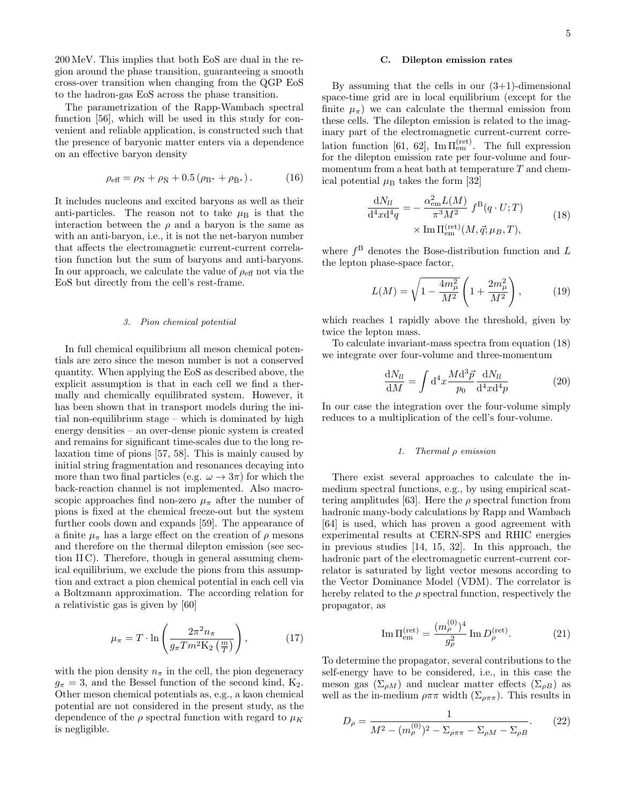5

200 MeV. This implies that both EoS are dual in the region around the phase transition, guaranteeing a smooth cross-over transition when changing from the QGP EoS to the hadron-gas EoS across the phase transition.

The parametrization of the Rapp-Wambach spectral function [56], which will be used in this study for convenient and reliable application, is constructed such that the presence of baryonic matter enters via a dependence on an effective baryon density

$$
\rho_{\text{eff}} = \rho_{\text{N}} + \rho_{\bar{\text{N}}} + 0.5 \left( \rho_{\text{B*}} + \rho_{\bar{\text{B*}}} \right). \tag{16}
$$

It includes nucleons and excited baryons as well as their anti-particles. The reason not to take  $\mu$ <sub>B</sub> is that the interaction between the  $\rho$  and a baryon is the same as with an anti-baryon, i.e., it is not the net-baryon number that affects the electromagnetic current-current correlation function but the sum of baryons and anti-baryons. In our approach, we calculate the value of  $\rho_{\text{eff}}$  not via the EoS but directly from the cell's rest-frame.

### 3. Pion chemical potential

In full chemical equilibrium all meson chemical potentials are zero since the meson number is not a conserved quantity. When applying the EoS as described above, the explicit assumption is that in each cell we find a thermally and chemically equilibrated system. However, it has been shown that in transport models during the initial non-equilibrium stage – which is dominated by high energy densities – an over-dense pionic system is created and remains for significant time-scales due to the long relaxation time of pions [57, 58]. This is mainly caused by initial string fragmentation and resonances decaying into more than two final particles (e.g.  $\omega \rightarrow 3\pi$ ) for which the back-reaction channel is not implemented. Also macroscopic approaches find non-zero  $\mu_{\pi}$  after the number of pions is fixed at the chemical freeze-out but the system further cools down and expands [59]. The appearance of a finite  $\mu_{\pi}$  has a large effect on the creation of  $\rho$  mesons and therefore on the thermal dilepton emission (see section II C). Therefore, though in general assuming chemical equilibrium, we exclude the pions from this assumption and extract a pion chemical potential in each cell via a Boltzmann approximation. The according relation for a relativistic gas is given by [60]

$$
\mu_{\pi} = T \cdot \ln \left( \frac{2\pi^2 n_{\pi}}{g_{\pi} T m^2 \mathcal{K}_2 \left( \frac{m}{T} \right)} \right),\tag{17}
$$

with the pion density  $n_{\pi}$  in the cell, the pion degeneracy  $g_{\pi} = 3$ , and the Bessel function of the second kind, K<sub>2</sub>. Other meson chemical potentials as, e.g., a kaon chemical potential are not considered in the present study, as the dependence of the  $\rho$  spectral function with regard to  $\mu_K$ is negligible.

### C. Dilepton emission rates

By assuming that the cells in our  $(3+1)$ -dimensional space-time grid are in local equilibrium (except for the finite  $\mu_{\pi}$ ) we can calculate the thermal emission from these cells. The dilepton emission is related to the imaginary part of the electromagnetic current-current correlation function [61, 62],  $\text{Im}\Pi_{\text{em}}^{(\text{ret})}$ . The full expression for the dilepton emission rate per four-volume and fourmomentum from a heat bath at temperature  $T$  and chemical potential  $\mu_{\rm B}$  takes the form [32]

$$
\frac{dN_{ll}}{d^4x d^4q} = -\frac{\alpha_{em}^2 L(M)}{\pi^3 M^2} f^{B}(q \cdot U; T) \times \text{Im } \Pi_{em}^{(\text{ret})}(M, \vec{q}; \mu_B, T), \qquad (18)
$$

where  $f^{\text{B}}$  denotes the Bose-distribution function and L the lepton phase-space factor,

$$
L(M) = \sqrt{1 - \frac{4m_{\mu}^2}{M^2}} \left( 1 + \frac{2m_{\mu}^2}{M^2} \right),
$$
 (19)

which reaches 1 rapidly above the threshold, given by twice the lepton mass.

To calculate invariant-mass spectra from equation (18) we integrate over four-volume and three-momentum

$$
\frac{\mathrm{d}N_{ll}}{\mathrm{d}M} = \int \mathrm{d}^4 x \frac{M \mathrm{d}^3 \vec{p}}{p_0} \frac{\mathrm{d}N_{ll}}{\mathrm{d}^4 x \mathrm{d}^4 p} \tag{20}
$$

In our case the integration over the four-volume simply reduces to a multiplication of the cell's four-volume.

### 1. Thermal ρ emission

There exist several approaches to calculate the inmedium spectral functions, e.g., by using empirical scattering amplitudes [63]. Here the  $\rho$  spectral function from hadronic many-body calculations by Rapp and Wambach [64] is used, which has proven a good agreement with experimental results at CERN-SPS and RHIC energies in previous studies [14, 15, 32]. In this approach, the hadronic part of the electromagnetic current-current correlator is saturated by light vector mesons according to the Vector Dominance Model (VDM). The correlator is hereby related to the  $\rho$  spectral function, respectively the propagator, as

Im 
$$
\Pi_{em}^{(ret)} = \frac{(m_{\rho}^{(0)})^4}{g_{\rho}^2}
$$
 Im  $D_{\rho}^{(ret)}$ . (21)

To determine the propagator, several contributions to the self-energy have to be considered, i.e., in this case the meson gas  $(\Sigma_{\rho M})$  and nuclear matter effects  $(\Sigma_{\rho B})$  as well as the in-medium  $\rho \pi \pi$  width  $(\Sigma_{\rho \pi \pi})$ . This results in

$$
D_{\rho} = \frac{1}{M^2 - (m_{\rho}^{(0)})^2 - \Sigma_{\rho \pi \pi} - \Sigma_{\rho M} - \Sigma_{\rho B}}.
$$
 (22)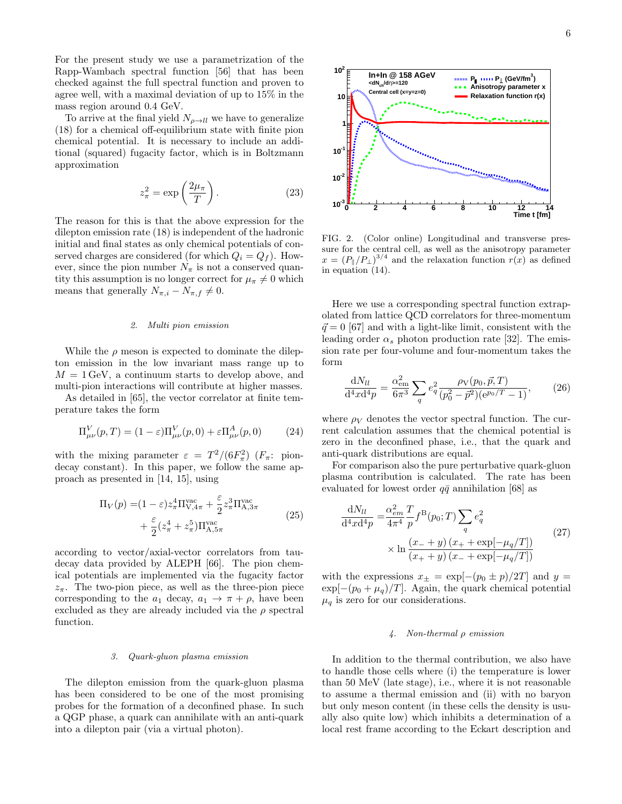For the present study we use a parametrization of the Rapp-Wambach spectral function [56] that has been checked against the full spectral function and proven to agree well, with a maximal deviation of up to 15% in the mass region around 0.4 GeV.

To arrive at the final yield  $N_{\rho \to ll}$  we have to generalize (18) for a chemical off-equilibrium state with finite pion chemical potential. It is necessary to include an additional (squared) fugacity factor, which is in Boltzmann approximation

$$
z_{\pi}^2 = \exp\left(\frac{2\mu_{\pi}}{T}\right). \tag{23}
$$

The reason for this is that the above expression for the dilepton emission rate (18) is independent of the hadronic initial and final states as only chemical potentials of conserved charges are considered (for which  $Q_i = Q_f$ ). However, since the pion number  $N_{\pi}$  is not a conserved quantity this assumption is no longer correct for  $\mu_{\pi} \neq 0$  which means that generally  $N_{\pi,i} - N_{\pi,f} \neq 0$ .

### 2. Multi pion emission

While the  $\rho$  meson is expected to dominate the dilepton emission in the low invariant mass range up to  $M = 1$  GeV, a continuum starts to develop above, and multi-pion interactions will contribute at higher masses.

As detailed in [65], the vector correlator at finite temperature takes the form

$$
\Pi_{\mu\nu}^V(p,T) = (1 - \varepsilon)\Pi_{\mu\nu}^V(p,0) + \varepsilon \Pi_{\mu\nu}^A(p,0) \tag{24}
$$

with the mixing parameter  $\varepsilon = T^2/(6F_\pi^2)$  ( $F_\pi$ : piondecay constant). In this paper, we follow the same approach as presented in [14, 15], using

$$
\Pi_V(p) = (1 - \varepsilon) z_\pi^4 \Pi_{V,4\pi}^{\text{vac}} + \frac{\varepsilon}{2} z_\pi^3 \Pi_{A,3\pi}^{\text{vac}} + \frac{\varepsilon}{2} (z_\pi^4 + z_\pi^5) \Pi_{A,5\pi}^{\text{vac}} \tag{25}
$$

according to vector/axial-vector correlators from taudecay data provided by ALEPH [66]. The pion chemical potentials are implemented via the fugacity factor  $z_{\pi}$ . The two-pion piece, as well as the three-pion piece corresponding to the  $a_1$  decay,  $a_1 \rightarrow \pi + \rho$ , have been excluded as they are already included via the  $\rho$  spectral function.

### 3. Quark-gluon plasma emission

The dilepton emission from the quark-gluon plasma has been considered to be one of the most promising probes for the formation of a deconfined phase. In such a QGP phase, a quark can annihilate with an anti-quark into a dilepton pair (via a virtual photon).



FIG. 2. (Color online) Longitudinal and transverse pressure for the central cell, as well as the anisotropy parameter  $x = (P_{\parallel}/P_{\perp})^{3/4}$  and the relaxation function  $r(x)$  as defined in equation (14).

Here we use a corresponding spectral function extrapolated from lattice QCD correlators for three-momentum  $\vec{q} = 0$  [67] and with a light-like limit, consistent with the leading order  $\alpha_s$  photon production rate [32]. The emission rate per four-volume and four-momentum takes the form

$$
\frac{\mathrm{d}N_{ll}}{\mathrm{d}^4x\mathrm{d}^4p} = \frac{\alpha_{\text{em}}^2}{6\pi^3} \sum_q e_q^2 \frac{\rho v(p_0, \vec{p}, T)}{(p_0^2 - \vec{p}^2)(e^{p_0/T} - 1)},\tag{26}
$$

where  $\rho_V$  denotes the vector spectral function. The current calculation assumes that the chemical potential is zero in the deconfined phase, i.e., that the quark and anti-quark distributions are equal.

For comparison also the pure perturbative quark-gluon plasma contribution is calculated. The rate has been evaluated for lowest order  $q\bar{q}$  annihilation [68] as

$$
\frac{dN_{ll}}{d^4x d^4p} = \frac{\alpha_{em}^2}{4\pi^4} \frac{T}{p} f^B(p_0; T) \sum_q e_q^2
$$
  
 
$$
\times \ln \frac{(x_- + y) (x_+ + \exp[-\mu_q/T])}{(x_+ + y) (x_- + \exp[-\mu_q/T])}
$$
(27)

with the expressions  $x_{\pm} = \exp[-(p_0 \pm p)/2T]$  and  $y =$  $\exp[-(p_0 + \mu_q)/T]$ . Again, the quark chemical potential  $\mu_q$  is zero for our considerations.

### 4. Non-thermal ρ emission

In addition to the thermal contribution, we also have to handle those cells where (i) the temperature is lower than 50 MeV (late stage), i.e., where it is not reasonable to assume a thermal emission and (ii) with no baryon but only meson content (in these cells the density is usually also quite low) which inhibits a determination of a local rest frame according to the Eckart description and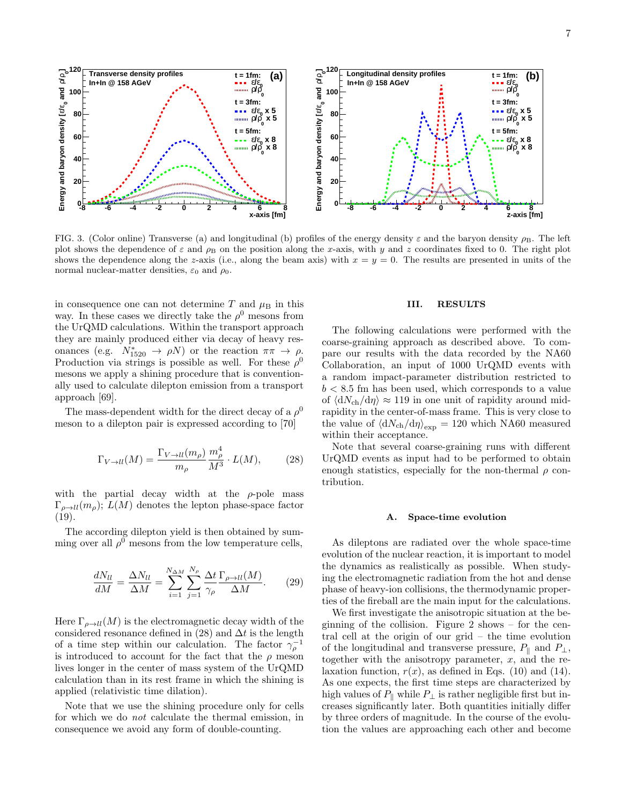

FIG. 3. (Color online) Transverse (a) and longitudinal (b) profiles of the energy density  $\varepsilon$  and the baryon density  $\rho_B$ . The left plot shows the dependence of  $\varepsilon$  and  $\rho_B$  on the position along the x-axis, with y and z coordinates fixed to 0. The right plot shows the dependence along the z-axis (i.e., along the beam axis) with  $x = y = 0$ . The results are presented in units of the normal nuclear-matter densities,  $\varepsilon_0$  and  $\rho_0$ .

in consequence one can not determine  $T$  and  $\mu$ <sub>B</sub> in this way. In these cases we directly take the  $\rho^0$  mesons from the UrQMD calculations. Within the transport approach they are mainly produced either via decay of heavy resonances (e.g.  $N_{1520}^* \rightarrow \rho N$ ) or the reaction  $\pi \pi \rightarrow \rho$ . Production via strings is possible as well. For these  $\rho^0$ mesons we apply a shining procedure that is conventionally used to calculate dilepton emission from a transport approach [69].

The mass-dependent width for the direct decay of a  $\rho^0$ meson to a dilepton pair is expressed according to [70]

$$
\Gamma_{V \to ll}(M) = \frac{\Gamma_{V \to ll}(m_{\rho})}{m_{\rho}} \frac{m_{\rho}^4}{M^3} \cdot L(M), \tag{28}
$$

with the partial decay width at the  $\rho$ -pole mass  $\Gamma_{\rho \to ll}(m_{\rho}); L(M)$  denotes the lepton phase-space factor (19).

The according dilepton yield is then obtained by summing over all  $\rho^0$  mesons from the low temperature cells,

$$
\frac{dN_{ll}}{dM} = \frac{\Delta N_{ll}}{\Delta M} = \sum_{i=1}^{N_{\Delta M}} \sum_{j=1}^{N_{\rho}} \frac{\Delta t}{\gamma_{\rho}} \frac{\Gamma_{\rho \to ll}(M)}{\Delta M}.
$$
 (29)

Here  $\Gamma_{\rho \to ll}(M)$  is the electromagnetic decay width of the considered resonance defined in (28) and  $\Delta t$  is the length of a time step within our calculation. The factor  $\gamma_{\rho}^{-1}$ is introduced to account for the fact that the  $\rho$  meson lives longer in the center of mass system of the UrQMD calculation than in its rest frame in which the shining is applied (relativistic time dilation).

Note that we use the shining procedure only for cells for which we do not calculate the thermal emission, in consequence we avoid any form of double-counting.

### III. RESULTS

The following calculations were performed with the coarse-graining approach as described above. To compare our results with the data recorded by the NA60 Collaboration, an input of 1000 UrQMD events with a random impact-parameter distribution restricted to  $b < 8.5$  fm has been used, which corresponds to a value of  $\langle dN_{ch}/d\eta \rangle \approx 119$  in one unit of rapidity around midrapidity in the center-of-mass frame. This is very close to the value of  $\langle dN_{ch}/d\eta \rangle_{\text{exp}} = 120$  which NA60 measured within their acceptance.

Note that several coarse-graining runs with different UrQMD events as input had to be performed to obtain enough statistics, especially for the non-thermal  $\rho$  contribution.

#### A. Space-time evolution

As dileptons are radiated over the whole space-time evolution of the nuclear reaction, it is important to model the dynamics as realistically as possible. When studying the electromagnetic radiation from the hot and dense phase of heavy-ion collisions, the thermodynamic properties of the fireball are the main input for the calculations.

We first investigate the anisotropic situation at the beginning of the collision. Figure 2 shows – for the central cell at the origin of our grid – the time evolution of the longitudinal and transverse pressure,  $P_{\parallel}$  and  $P_{\perp}$ , together with the anisotropy parameter,  $x$ , and the relaxation function,  $r(x)$ , as defined in Eqs. (10) and (14). As one expects, the first time steps are characterized by high values of  $P_{\parallel}$  while  $P_{\perp}$  is rather negligible first but increases significantly later. Both quantities initially differ by three orders of magnitude. In the course of the evolution the values are approaching each other and become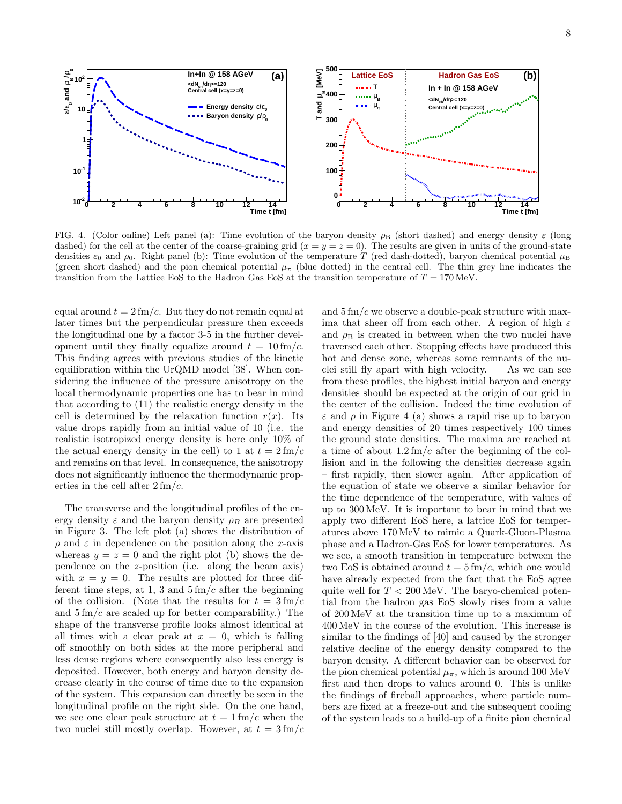

FIG. 4. (Color online) Left panel (a): Time evolution of the baryon density  $\rho_B$  (short dashed) and energy density  $\varepsilon$  (long dashed) for the cell at the center of the coarse-graining grid  $(x = y = z = 0)$ . The results are given in units of the ground-state densities  $\varepsilon_0$  and  $\rho_0$ . Right panel (b): Time evolution of the temperature T (red dash-dotted), baryon chemical potential  $\mu_B$ (green short dashed) and the pion chemical potential  $\mu_{\pi}$  (blue dotted) in the central cell. The thin grey line indicates the transition from the Lattice EoS to the Hadron Gas EoS at the transition temperature of  $T = 170$  MeV.

equal around  $t = 2 \, \text{fm}/c$ . But they do not remain equal at later times but the perpendicular pressure then exceeds the longitudinal one by a factor 3-5 in the further development until they finally equalize around  $t = 10$  fm/c. This finding agrees with previous studies of the kinetic equilibration within the UrQMD model [38]. When considering the influence of the pressure anisotropy on the local thermodynamic properties one has to bear in mind that according to (11) the realistic energy density in the cell is determined by the relaxation function  $r(x)$ . Its value drops rapidly from an initial value of 10 (i.e. the realistic isotropized energy density is here only 10% of the actual energy density in the cell) to 1 at  $t = 2 \text{ fm}/c$ and remains on that level. In consequence, the anisotropy does not significantly influence the thermodynamic properties in the cell after  $2 \text{ fm}/c$ .

The transverse and the longitudinal profiles of the energy density  $\varepsilon$  and the baryon density  $\rho_B$  are presented in Figure 3. The left plot (a) shows the distribution of  $\rho$  and  $\varepsilon$  in dependence on the position along the x-axis whereas  $y = z = 0$  and the right plot (b) shows the dependence on the z-position (i.e. along the beam axis) with  $x = y = 0$ . The results are plotted for three different time steps, at 1, 3 and  $5 \text{ fm}/c$  after the beginning of the collision. (Note that the results for  $t = 3 \text{ fm}/c$ and  $5 \text{ fm}/c$  are scaled up for better comparability.) The shape of the transverse profile looks almost identical at all times with a clear peak at  $x = 0$ , which is falling off smoothly on both sides at the more peripheral and less dense regions where consequently also less energy is deposited. However, both energy and baryon density decrease clearly in the course of time due to the expansion of the system. This expansion can directly be seen in the longitudinal profile on the right side. On the one hand, we see one clear peak structure at  $t = 1$  fm/c when the two nuclei still mostly overlap. However, at  $t = 3 \text{ fm}/c$ 

and  $5 \text{ fm}/c$  we observe a double-peak structure with maxima that sheer off from each other. A region of high  $\varepsilon$ and  $\rho_B$  is created in between when the two nuclei have traversed each other. Stopping effects have produced this hot and dense zone, whereas some remnants of the nuclei still fly apart with high velocity. As we can see from these profiles, the highest initial baryon and energy densities should be expected at the origin of our grid in the center of the collision. Indeed the time evolution of  $\varepsilon$  and  $\rho$  in Figure 4 (a) shows a rapid rise up to baryon and energy densities of 20 times respectively 100 times the ground state densities. The maxima are reached at a time of about  $1.2 \text{ fm}/c$  after the beginning of the collision and in the following the densities decrease again – first rapidly, then slower again. After application of the equation of state we observe a similar behavior for the time dependence of the temperature, with values of up to 300 MeV. It is important to bear in mind that we apply two different EoS here, a lattice EoS for temperatures above 170 MeV to mimic a Quark-Gluon-Plasma phase and a Hadron-Gas EoS for lower temperatures. As we see, a smooth transition in temperature between the two EoS is obtained around  $t = 5 \, \text{fm}/c$ , which one would have already expected from the fact that the EoS agree quite well for  $T < 200 \,\text{MeV}$ . The baryo-chemical potential from the hadron gas EoS slowly rises from a value of 200 MeV at the transition time up to a maximum of 400 MeV in the course of the evolution. This increase is similar to the findings of [40] and caused by the stronger relative decline of the energy density compared to the baryon density. A different behavior can be observed for the pion chemical potential  $\mu_{\pi}$ , which is around 100 MeV first and then drops to values around 0. This is unlike the findings of fireball approaches, where particle numbers are fixed at a freeze-out and the subsequent cooling of the system leads to a build-up of a finite pion chemical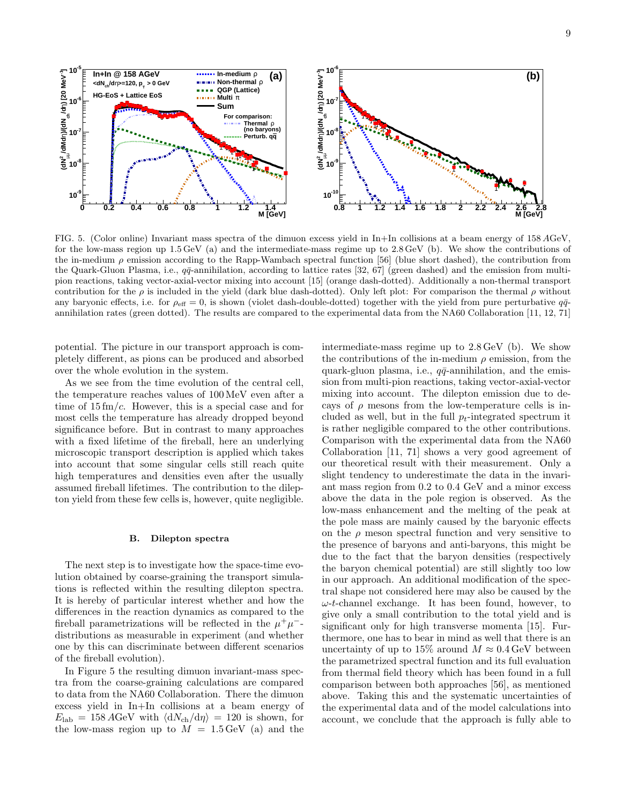

FIG. 5. (Color online) Invariant mass spectra of the dimuon excess yield in In+In collisions at a beam energy of 158 AGeV, for the low-mass region up  $1.5 \,\text{GeV}$  (a) and the intermediate-mass regime up to  $2.8 \,\text{GeV}$  (b). We show the contributions of the in-medium  $\rho$  emission according to the Rapp-Wambach spectral function [56] (blue short dashed), the contribution from the Quark-Gluon Plasma, i.e.,  $q\bar{q}$ -annihilation, according to lattice rates [32, 67] (green dashed) and the emission from multipion reactions, taking vector-axial-vector mixing into account [15] (orange dash-dotted). Additionally a non-thermal transport contribution for the  $\rho$  is included in the yield (dark blue dash-dotted). Only left plot: For comparison the thermal  $\rho$  without any baryonic effects, i.e. for  $\rho_{\text{eff}} = 0$ , is shown (violet dash-double-dotted) together with the yield from pure perturbative  $q\bar{q}$ annihilation rates (green dotted). The results are compared to the experimental data from the NA60 Collaboration [11, 12, 71]

potential. The picture in our transport approach is completely different, as pions can be produced and absorbed over the whole evolution in the system.

As we see from the time evolution of the central cell, the temperature reaches values of 100 MeV even after a time of  $15 \text{ fm}/c$ . However, this is a special case and for most cells the temperature has already dropped beyond significance before. But in contrast to many approaches with a fixed lifetime of the fireball, here an underlying microscopic transport description is applied which takes into account that some singular cells still reach quite high temperatures and densities even after the usually assumed fireball lifetimes. The contribution to the dilepton yield from these few cells is, however, quite negligible.

#### B. Dilepton spectra

The next step is to investigate how the space-time evolution obtained by coarse-graining the transport simulations is reflected within the resulting dilepton spectra. It is hereby of particular interest whether and how the differences in the reaction dynamics as compared to the fireball parametrizations will be reflected in the  $\mu^+\mu^$ distributions as measurable in experiment (and whether one by this can discriminate between different scenarios of the fireball evolution).

In Figure 5 the resulting dimuon invariant-mass spectra from the coarse-graining calculations are compared to data from the NA60 Collaboration. There the dimuon excess yield in In+In collisions at a beam energy of  $E_{\rm lab} = 158 \,\text{AGeV}$  with  $\langle dN_{\rm ch}/d\eta \rangle = 120$  is shown, for the low-mass region up to  $M = 1.5 \,\text{GeV}$  (a) and the

intermediate-mass regime up to 2.8 GeV (b). We show the contributions of the in-medium  $\rho$  emission, from the quark-gluon plasma, i.e.,  $q\bar{q}$ -annihilation, and the emission from multi-pion reactions, taking vector-axial-vector mixing into account. The dilepton emission due to decays of  $\rho$  mesons from the low-temperature cells is included as well, but in the full  $p_t$ -integrated spectrum it is rather negligible compared to the other contributions. Comparison with the experimental data from the NA60 Collaboration [11, 71] shows a very good agreement of our theoretical result with their measurement. Only a slight tendency to underestimate the data in the invariant mass region from 0.2 to 0.4 GeV and a minor excess above the data in the pole region is observed. As the low-mass enhancement and the melting of the peak at the pole mass are mainly caused by the baryonic effects on the  $\rho$  meson spectral function and very sensitive to the presence of baryons and anti-baryons, this might be due to the fact that the baryon densities (respectively the baryon chemical potential) are still slightly too low in our approach. An additional modification of the spectral shape not considered here may also be caused by the  $\omega$ -t-channel exchange. It has been found, however, to give only a small contribution to the total yield and is significant only for high transverse momenta [15]. Furthermore, one has to bear in mind as well that there is an uncertainty of up to 15% around  $M \approx 0.4$  GeV between the parametrized spectral function and its full evaluation from thermal field theory which has been found in a full comparison between both approaches [56], as mentioned above. Taking this and the systematic uncertainties of the experimental data and of the model calculations into account, we conclude that the approach is fully able to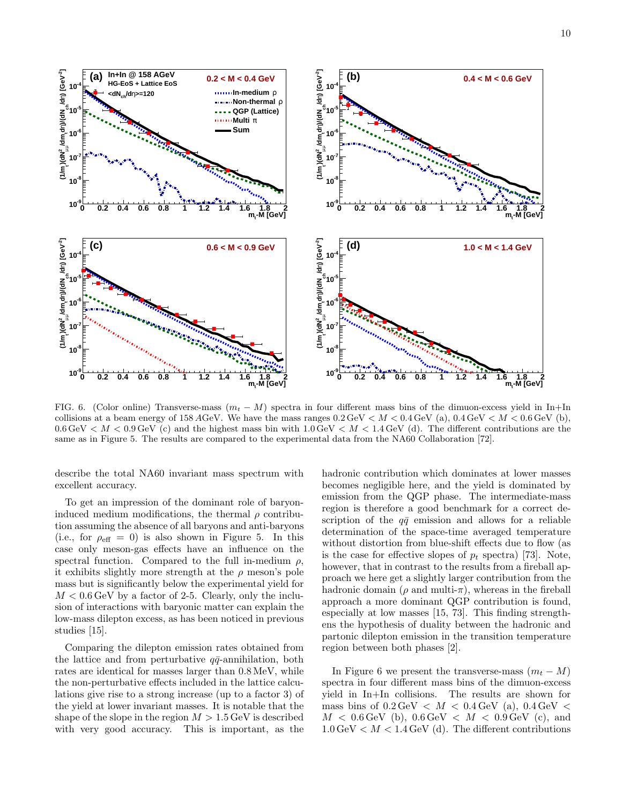

FIG. 6. (Color online) Transverse-mass  $(m_t - M)$  spectra in four different mass bins of the dimuon-excess yield in In+In collisions at a beam energy of 158 AGeV. We have the mass ranges  $0.2 \text{ GeV} < M < 0.4 \text{ GeV}$  (a),  $0.4 \text{ GeV} < M < 0.6 \text{ GeV}$  (b),  $0.6 \,\text{GeV} < M < 0.9 \,\text{GeV}$  (c) and the highest mass bin with  $1.0 \,\text{GeV} < M < 1.4 \,\text{GeV}$  (d). The different contributions are the same as in Figure 5. The results are compared to the experimental data from the NA60 Collaboration [72].

describe the total NA60 invariant mass spectrum with excellent accuracy.

To get an impression of the dominant role of baryoninduced medium modifications, the thermal  $\rho$  contribution assuming the absence of all baryons and anti-baryons (i.e., for  $\rho_{\text{eff}} = 0$ ) is also shown in Figure 5. In this case only meson-gas effects have an influence on the spectral function. Compared to the full in-medium  $\rho$ , it exhibits slightly more strength at the  $\rho$  meson's pole mass but is significantly below the experimental yield for  $M < 0.6 \,\text{GeV}$  by a factor of 2-5. Clearly, only the inclusion of interactions with baryonic matter can explain the low-mass dilepton excess, as has been noticed in previous studies [15].

Comparing the dilepton emission rates obtained from the lattice and from perturbative  $q\bar{q}$ -annihilation, both rates are identical for masses larger than 0.8 MeV, while the non-perturbative effects included in the lattice calculations give rise to a strong increase (up to a factor 3) of the yield at lower invariant masses. It is notable that the shape of the slope in the region  $M > 1.5$  GeV is described with very good accuracy. This is important, as the

hadronic contribution which dominates at lower masses becomes negligible here, and the yield is dominated by emission from the QGP phase. The intermediate-mass region is therefore a good benchmark for a correct description of the  $q\bar{q}$  emission and allows for a reliable determination of the space-time averaged temperature without distortion from blue-shift effects due to flow (as is the case for effective slopes of  $p_t$  spectra) [73]. Note, however, that in contrast to the results from a fireball approach we here get a slightly larger contribution from the hadronic domain ( $\rho$  and multi- $\pi$ ), whereas in the fireball approach a more dominant QGP contribution is found, especially at low masses [15, 73]. This finding strengthens the hypothesis of duality between the hadronic and partonic dilepton emission in the transition temperature region between both phases [2].

In Figure 6 we present the transverse-mass  $(m_t - M)$ spectra in four different mass bins of the dimuon-excess yield in In+In collisions. The results are shown for mass bins of  $0.2 \,\text{GeV} < M < 0.4 \,\text{GeV}$  (a),  $0.4 \,\text{GeV} <$  $M < 0.6 \,\text{GeV}$  (b),  $0.6 \,\text{GeV} < M < 0.9 \,\text{GeV}$  (c), and  $1.0 \,\text{GeV} < M < 1.4 \,\text{GeV}$  (d). The different contributions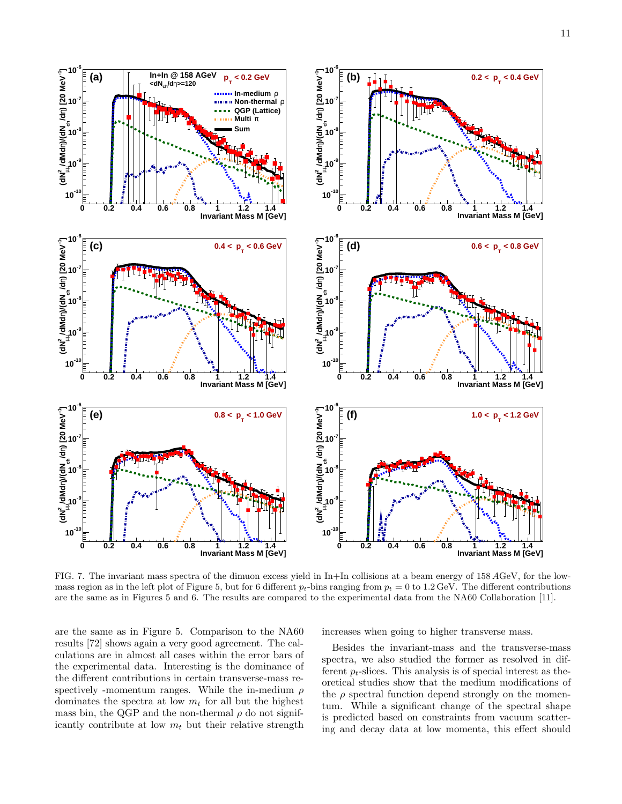

FIG. 7. The invariant mass spectra of the dimuon excess yield in In+In collisions at a beam energy of 158 AGeV, for the lowmass region as in the left plot of Figure 5, but for 6 different  $p_t$ -bins ranging from  $p_t = 0$  to 1.2 GeV. The different contributions are the same as in Figures 5 and 6. The results are compared to the experimental data from the NA60 Collaboration [11].

are the same as in Figure 5. Comparison to the NA60 results [72] shows again a very good agreement. The calculations are in almost all cases within the error bars of the experimental data. Interesting is the dominance of the different contributions in certain transverse-mass respectively -momentum ranges. While the in-medium  $\rho$ dominates the spectra at low  $m_t$  for all but the highest mass bin, the QGP and the non-thermal  $\rho$  do not significantly contribute at low  $m_t$  but their relative strength

increases when going to higher transverse mass.

Besides the invariant-mass and the transverse-mass spectra, we also studied the former as resolved in different  $p_t$ -slices. This analysis is of special interest as theoretical studies show that the medium modifications of the  $\rho$  spectral function depend strongly on the momentum. While a significant change of the spectral shape is predicted based on constraints from vacuum scattering and decay data at low momenta, this effect should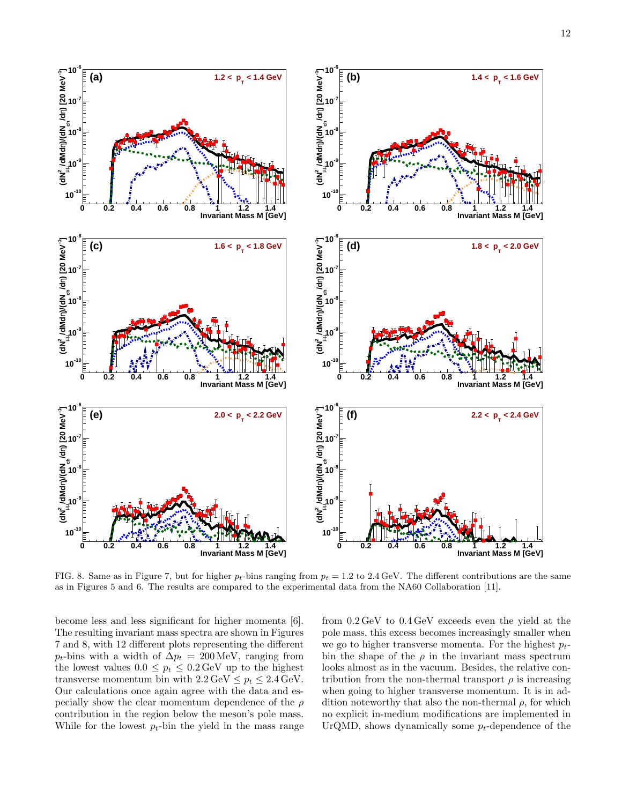

FIG. 8. Same as in Figure 7, but for higher  $p_t$ -bins ranging from  $p_t = 1.2$  to 2.4 GeV. The different contributions are the same as in Figures 5 and 6. The results are compared to the experimental data from the NA60 Collaboration [11].

become less and less significant for higher momenta [6]. The resulting invariant mass spectra are shown in Figures 7 and 8, with 12 different plots representing the different  $p_t$ -bins with a width of  $\Delta p_t = 200 \,\text{MeV}$ , ranging from the lowest values  $0.0 \leq p_t \leq 0.2 \,\text{GeV}$  up to the highest transverse momentum bin with  $2.2 \text{ GeV} \leq p_t \leq 2.4 \text{ GeV}$ . Our calculations once again agree with the data and especially show the clear momentum dependence of the  $\rho$ contribution in the region below the meson's pole mass. While for the lowest  $p_t$ -bin the yield in the mass range

from 0.2 GeV to 0.4 GeV exceeds even the yield at the pole mass, this excess becomes increasingly smaller when we go to higher transverse momenta. For the highest  $p_t$ bin the shape of the  $\rho$  in the invariant mass spectrum looks almost as in the vacuum. Besides, the relative contribution from the non-thermal transport  $\rho$  is increasing when going to higher transverse momentum. It is in addition noteworthy that also the non-thermal  $\rho$ , for which no explicit in-medium modifications are implemented in UrQMD, shows dynamically some  $p_t$ -dependence of the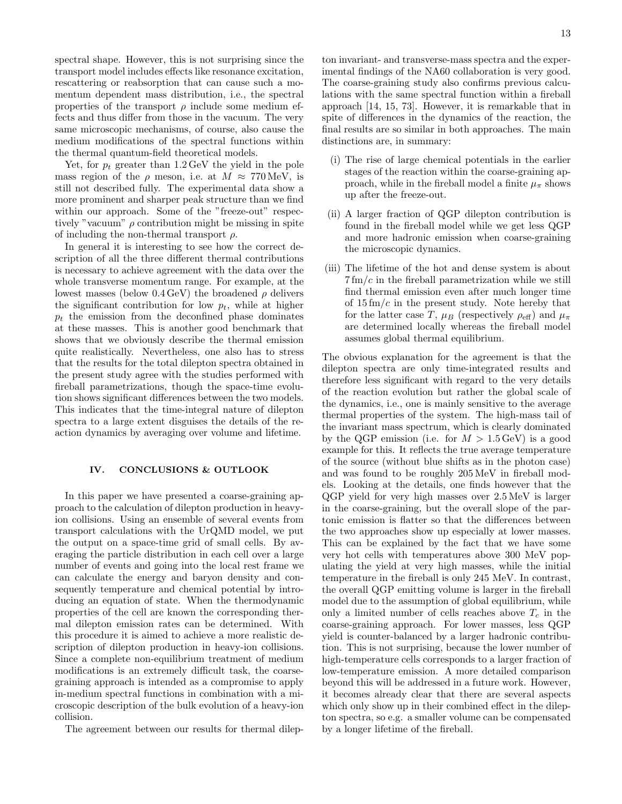13

spectral shape. However, this is not surprising since the transport model includes effects like resonance excitation, rescattering or reabsorption that can cause such a momentum dependent mass distribution, i.e., the spectral properties of the transport  $\rho$  include some medium effects and thus differ from those in the vacuum. The very same microscopic mechanisms, of course, also cause the medium modifications of the spectral functions within the thermal quantum-field theoretical models.

Yet, for  $p_t$  greater than 1.2 GeV the yield in the pole mass region of the  $\rho$  meson, i.e. at  $M \approx 770 \,\text{MeV}$ , is still not described fully. The experimental data show a more prominent and sharper peak structure than we find within our approach. Some of the "freeze-out" respectively "vacuum"  $\rho$  contribution might be missing in spite of including the non-thermal transport  $\rho$ .

In general it is interesting to see how the correct description of all the three different thermal contributions is necessary to achieve agreement with the data over the whole transverse momentum range. For example, at the lowest masses (below  $0.4 \,\text{GeV}$ ) the broadened  $\rho$  delivers the significant contribution for low  $p_t$ , while at higher  $p_t$  the emission from the deconfined phase dominates at these masses. This is another good benchmark that shows that we obviously describe the thermal emission quite realistically. Nevertheless, one also has to stress that the results for the total dilepton spectra obtained in the present study agree with the studies performed with fireball parametrizations, though the space-time evolution shows significant differences between the two models. This indicates that the time-integral nature of dilepton spectra to a large extent disguises the details of the reaction dynamics by averaging over volume and lifetime.

## IV. CONCLUSIONS & OUTLOOK

In this paper we have presented a coarse-graining approach to the calculation of dilepton production in heavyion collisions. Using an ensemble of several events from transport calculations with the UrQMD model, we put the output on a space-time grid of small cells. By averaging the particle distribution in each cell over a large number of events and going into the local rest frame we can calculate the energy and baryon density and consequently temperature and chemical potential by introducing an equation of state. When the thermodynamic properties of the cell are known the corresponding thermal dilepton emission rates can be determined. With this procedure it is aimed to achieve a more realistic description of dilepton production in heavy-ion collisions. Since a complete non-equilibrium treatment of medium modifications is an extremely difficult task, the coarsegraining approach is intended as a compromise to apply in-medium spectral functions in combination with a microscopic description of the bulk evolution of a heavy-ion collision.

The agreement between our results for thermal dilep-

ton invariant- and transverse-mass spectra and the experimental findings of the NA60 collaboration is very good. The coarse-graining study also confirms previous calculations with the same spectral function within a fireball approach [14, 15, 73]. However, it is remarkable that in spite of differences in the dynamics of the reaction, the final results are so similar in both approaches. The main distinctions are, in summary:

- (i) The rise of large chemical potentials in the earlier stages of the reaction within the coarse-graining approach, while in the fireball model a finite  $\mu_{\pi}$  shows up after the freeze-out.
- (ii) A larger fraction of QGP dilepton contribution is found in the fireball model while we get less QGP and more hadronic emission when coarse-graining the microscopic dynamics.
- (iii) The lifetime of the hot and dense system is about  $7 \text{ fm}/c$  in the fireball parametrization while we still find thermal emission even after much longer time of  $15 \text{ fm}/c$  in the present study. Note hereby that for the latter case T,  $\mu_B$  (respectively  $\rho_{\text{eff}}$ ) and  $\mu_{\pi}$ are determined locally whereas the fireball model assumes global thermal equilibrium.

The obvious explanation for the agreement is that the dilepton spectra are only time-integrated results and therefore less significant with regard to the very details of the reaction evolution but rather the global scale of the dynamics, i.e., one is mainly sensitive to the average thermal properties of the system. The high-mass tail of the invariant mass spectrum, which is clearly dominated by the QGP emission (i.e. for  $M > 1.5 \,\text{GeV}$ ) is a good example for this. It reflects the true average temperature of the source (without blue shifts as in the photon case) and was found to be roughly 205 MeV in fireball models. Looking at the details, one finds however that the QGP yield for very high masses over 2.5 MeV is larger in the coarse-graining, but the overall slope of the partonic emission is flatter so that the differences between the two approaches show up especially at lower masses. This can be explained by the fact that we have some very hot cells with temperatures above 300 MeV populating the yield at very high masses, while the initial temperature in the fireball is only 245 MeV. In contrast, the overall QGP emitting volume is larger in the fireball model due to the assumption of global equilibrium, while only a limited number of cells reaches above  $T_c$  in the coarse-graining approach. For lower masses, less QGP yield is counter-balanced by a larger hadronic contribution. This is not surprising, because the lower number of high-temperature cells corresponds to a larger fraction of low-temperature emission. A more detailed comparison beyond this will be addressed in a future work. However, it becomes already clear that there are several aspects which only show up in their combined effect in the dilepton spectra, so e.g. a smaller volume can be compensated by a longer lifetime of the fireball.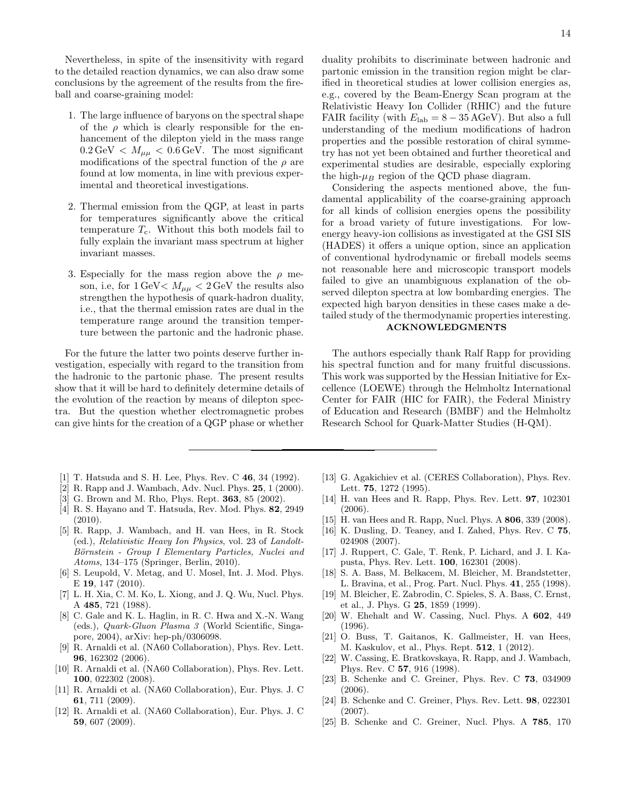Nevertheless, in spite of the insensitivity with regard to the detailed reaction dynamics, we can also draw some conclusions by the agreement of the results from the fireball and coarse-graining model:

- 1. The large influence of baryons on the spectral shape of the  $\rho$  which is clearly responsible for the enhancement of the dilepton yield in the mass range  $0.2 \,\text{GeV} < M_{\mu\mu} < 0.6 \,\text{GeV}$ . The most significant modifications of the spectral function of the  $\rho$  are found at low momenta, in line with previous experimental and theoretical investigations.
- 2. Thermal emission from the QGP, at least in parts for temperatures significantly above the critical temperature  $T_c$ . Without this both models fail to fully explain the invariant mass spectrum at higher invariant masses.
- 3. Especially for the mass region above the  $\rho$  meson, i.e, for  $1 \text{ GeV} < M_{\mu\mu} < 2 \text{ GeV}$  the results also strengthen the hypothesis of quark-hadron duality, i.e., that the thermal emission rates are dual in the temperature range around the transition temperture between the partonic and the hadronic phase.

For the future the latter two points deserve further investigation, especially with regard to the transition from the hadronic to the partonic phase. The present results show that it will be hard to definitely determine details of the evolution of the reaction by means of dilepton spectra. But the question whether electromagnetic probes can give hints for the creation of a QGP phase or whether

- [1] T. Hatsuda and S. H. Lee, Phys. Rev. C 46, 34 (1992).
- [2] R. Rapp and J. Wambach, Adv. Nucl. Phys. 25, 1 (2000).
- [3] G. Brown and M. Rho, Phys. Rept. 363, 85 (2002).
- [4] R. S. Hayano and T. Hatsuda, Rev. Mod. Phys. 82, 2949 (2010).
- [5] R. Rapp, J. Wambach, and H. van Hees, in R. Stock (ed.), Relativistic Heavy Ion Physics, vol. 23 of Landolt-Börnstein - Group I Elementary Particles, Nuclei and Atoms, 134–175 (Springer, Berlin, 2010).
- [6] S. Leupold, V. Metag, and U. Mosel, Int. J. Mod. Phys. E 19, 147 (2010).
- [7] L. H. Xia, C. M. Ko, L. Xiong, and J. Q. Wu, Nucl. Phys. A 485, 721 (1988).
- [8] C. Gale and K. L. Haglin, in R. C. Hwa and X.-N. Wang (eds.), Quark-Gluon Plasma 3 (World Scientific, Singapore, 2004), arXiv: hep-ph/0306098.
- [9] R. Arnaldi et al. (NA60 Collaboration), Phys. Rev. Lett. 96, 162302 (2006).
- [10] R. Arnaldi et al. (NA60 Collaboration), Phys. Rev. Lett. 100, 022302 (2008).
- [11] R. Arnaldi et al. (NA60 Collaboration), Eur. Phys. J. C 61, 711 (2009).
- [12] R. Arnaldi et al. (NA60 Collaboration), Eur. Phys. J. C 59, 607 (2009).
- [13] G. Agakichiev et al. (CERES Collaboration), Phys. Rev. Lett. 75, 1272 (1995).
- [14] H. van Hees and R. Rapp, Phys. Rev. Lett. 97, 102301 (2006).
- [15] H. van Hees and R. Rapp, Nucl. Phys. A **806**, 339 (2008).
- [16] K. Dusling, D. Teaney, and I. Zahed, Phys. Rev. C 75, 024908 (2007).
- [17] J. Ruppert, C. Gale, T. Renk, P. Lichard, and J. I. Kapusta, Phys. Rev. Lett. 100, 162301 (2008).
- [18] S. A. Bass, M. Belkacem, M. Bleicher, M. Brandstetter, L. Bravina, et al., Prog. Part. Nucl. Phys. 41, 255 (1998).
- [19] M. Bleicher, E. Zabrodin, C. Spieles, S. A. Bass, C. Ernst, et al., J. Phys. G 25, 1859 (1999).
- [20] W. Ehehalt and W. Cassing, Nucl. Phys. A 602, 449 (1996).
- [21] O. Buss, T. Gaitanos, K. Gallmeister, H. van Hees, M. Kaskulov, et al., Phys. Rept. 512, 1 (2012).
- [22] W. Cassing, E. Bratkovskaya, R. Rapp, and J. Wambach, Phys. Rev. C 57, 916 (1998).
- [23] B. Schenke and C. Greiner, Phys. Rev. C 73, 034909 (2006).
- [24] B. Schenke and C. Greiner, Phys. Rev. Lett. 98, 022301 (2007).
- [25] B. Schenke and C. Greiner, Nucl. Phys. A 785, 170

duality prohibits to discriminate between hadronic and partonic emission in the transition region might be clarified in theoretical studies at lower collision energies as, e.g., covered by the Beam-Energy Scan program at the Relativistic Heavy Ion Collider (RHIC) and the future FAIR facility (with  $E_{\text{lab}} = 8 - 35 \text{ AGeV}$ ). But also a full understanding of the medium modifications of hadron properties and the possible restoration of chiral symmetry has not yet been obtained and further theoretical and experimental studies are desirable, especially exploring the high- $\mu_B$  region of the QCD phase diagram.

Considering the aspects mentioned above, the fundamental applicability of the coarse-graining approach for all kinds of collision energies opens the possibility for a broad variety of future investigations. For lowenergy heavy-ion collisions as investigated at the GSI SIS (HADES) it offers a unique option, since an application of conventional hydrodynamic or fireball models seems not reasonable here and microscopic transport models failed to give an unambiguous explanation of the observed dilepton spectra at low bombarding energies. The expected high baryon densities in these cases make a detailed study of the thermodynamic properties interesting.

# ACKNOWLEDGMENTS

The authors especially thank Ralf Rapp for providing his spectral function and for many fruitful discussions. This work was supported by the Hessian Initiative for Excellence (LOEWE) through the Helmholtz International Center for FAIR (HIC for FAIR), the Federal Ministry of Education and Research (BMBF) and the Helmholtz Research School for Quark-Matter Studies (H-QM).